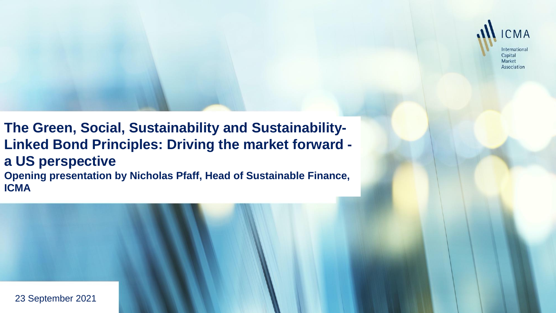

# **The Green, Social, Sustainability and Sustainability-Linked Bond Principles: Driving the market forward -**

**a US perspective**

**Opening presentation by Nicholas Pfaff, Head of Sustainable Finance, ICMA**

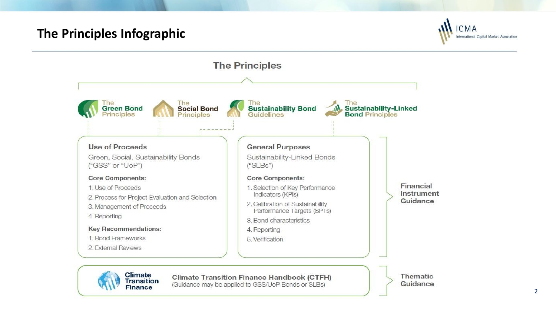# **The Principles Infographic**

**Finance** 





(Guidance may be applied to GSS/UoP Bonds or SLBs)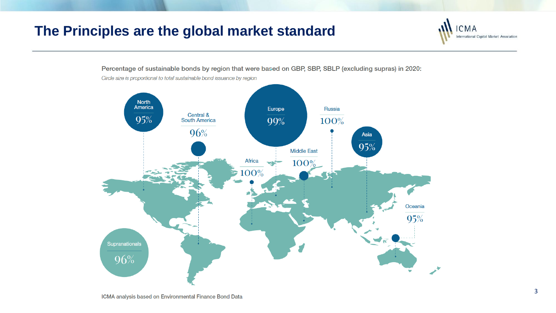# **The Principles are the global market standard**



Percentage of sustainable bonds by region that were based on GBP, SBP, SBLP (excluding supras) in 2020:

**CMA** International Capital Market Association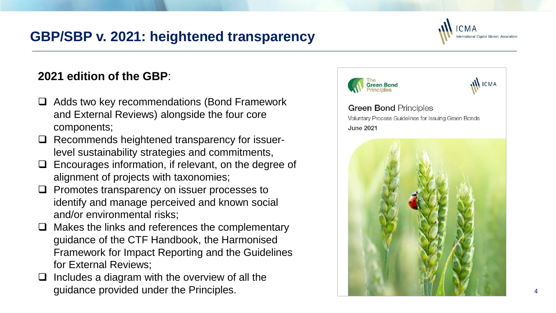# **GBP/SBP v. 2021: heightened transparency**

### **2021 edition of the GBP** :

- ❑ Adds two key recommendations (Bond Framework and External Reviews) alongside the four core components;
- □ Recommends heightened transparency for issuerlevel sustainability strategies and commitments,
- ❑ Encourages information, if relevant, on the degree of alignment of projects with taxonomies;
- ❑ Promotes transparency on issuer processes to identify and manage perceived and known social and/or environmental risks;
- ❑ Makes the links and references the complementary guidance of the CTF Handbook, the Harmonised Framework for Impact Reporting and the Guidelines for External Reviews;
- ❑ Includes a diagram with the overview of all the guidance provided under the Principles.

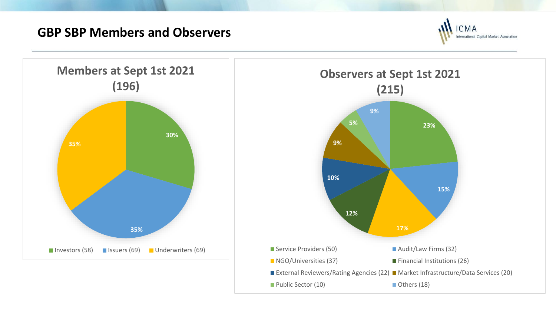## **GBP SBP Members and Observers**



5



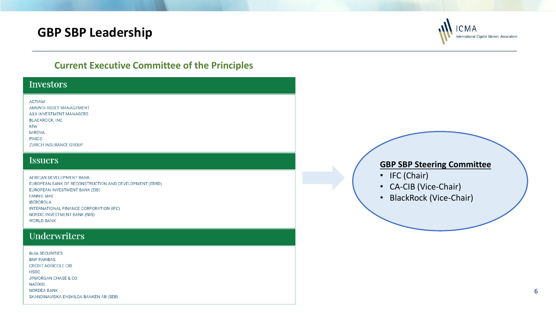## **GBP SBP Leadership**



### **Current Executive Committee of the Principles**

#### **Investors**

#### **ACTIAM**

AMUNDI ASSET MANAGEMENT AXA INVESTMENT MANAGERS BLACKROCK, INC. **KfW MIROVA PIMCO** ZURICH INSURANCE GROUP

#### **Issuers**

AFRICAN DEVELOPMENT BANK EUROPEAN BANK OF RECONSTRUCTION AND DEVELOPMENT (EBRD) EUROPEAN INVESTMENT BANK (EIB) **FANNIE MAE IBERDROLA** INTERNATIONAL FINANCE CORPORATION (IFC) NORDIC INVESTMENT BANK (NIB) **WORLD BANK** 

### Underwriters

| <b>BofA SECURITIES</b>                 |  |
|----------------------------------------|--|
| <b>BNP PARIBAS</b>                     |  |
| <b>CREDIT AGRICOLE CIB</b>             |  |
| <b>HSBC</b>                            |  |
| JPMORGAN CHASE & CO.                   |  |
| <b>NATIXIS</b>                         |  |
| NORDEA BANK                            |  |
| SKANDINAVISKA ENSKILDA BANKEN AB (SEB) |  |

#### **GBP SBP Steering Committee**

- IFC (Chair)
- CA-CIB (Vice-Chair)
- BlackRock (Vice-Chair)